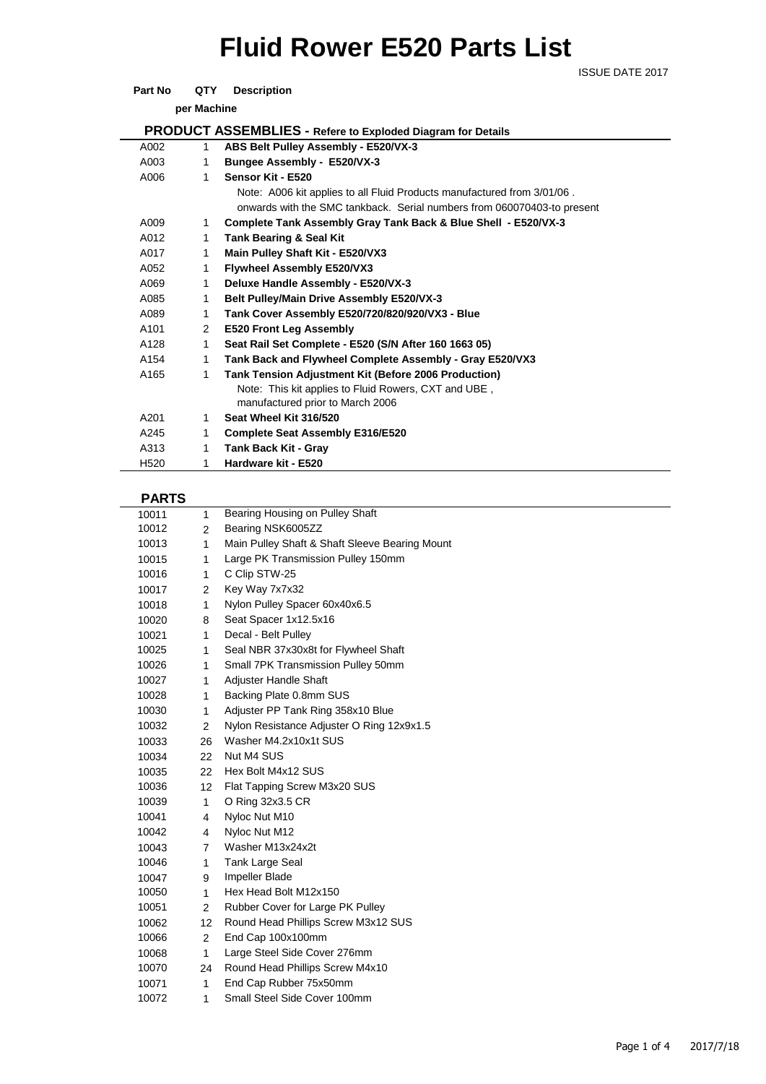# **Fluid Rower E520 Parts List**

ISSUE DATE 2017

### **Part No QTY** Description

**per Machine**

| <b>PRODUCT ASSEMBLIES - Refere to Exploded Diagram for Details</b> |                |                                                                         |  |  |
|--------------------------------------------------------------------|----------------|-------------------------------------------------------------------------|--|--|
| A002                                                               | $\mathbf{1}$   | ABS Belt Pulley Assembly - E520/VX-3                                    |  |  |
| A003                                                               | 1              | Bungee Assembly - E520/VX-3                                             |  |  |
| A006                                                               | 1              | Sensor Kit - E520                                                       |  |  |
|                                                                    |                | Note: A006 kit applies to all Fluid Products manufactured from 3/01/06. |  |  |
|                                                                    |                | onwards with the SMC tankback. Serial numbers from 060070403-to present |  |  |
| A009                                                               | $\mathbf{1}$   | Complete Tank Assembly Gray Tank Back & Blue Shell - E520/VX-3          |  |  |
| A012                                                               | 1              | <b>Tank Bearing &amp; Seal Kit</b>                                      |  |  |
| A017                                                               | 1              | Main Pulley Shaft Kit - E520/VX3                                        |  |  |
| A052                                                               | 1              | <b>Flywheel Assembly E520/VX3</b>                                       |  |  |
| A069                                                               | 1              | Deluxe Handle Assembly - E520/VX-3                                      |  |  |
| A085                                                               | 1              | Belt Pulley/Main Drive Assembly E520/VX-3                               |  |  |
| A089                                                               | 1              | Tank Cover Assembly E520/720/820/920/VX3 - Blue                         |  |  |
| A101                                                               | $\overline{2}$ | <b>E520 Front Leg Assembly</b>                                          |  |  |
| A128                                                               | 1              | Seat Rail Set Complete - E520 (S/N After 160 1663 05)                   |  |  |
| A154                                                               | 1              | Tank Back and Flywheel Complete Assembly - Gray E520/VX3                |  |  |
| A165                                                               | 1              | <b>Tank Tension Adjustment Kit (Before 2006 Production)</b>             |  |  |
|                                                                    |                | Note: This kit applies to Fluid Rowers, CXT and UBE,                    |  |  |
|                                                                    |                | manufactured prior to March 2006                                        |  |  |
| A201                                                               | 1              | Seat Wheel Kit 316/520                                                  |  |  |
| A245                                                               | 1              | <b>Complete Seat Assembly E316/E520</b>                                 |  |  |
| A313                                                               | 1              | <b>Tank Back Kit - Gray</b>                                             |  |  |
| H520                                                               | 1              | Hardware kit - E520                                                     |  |  |
|                                                                    |                |                                                                         |  |  |

## **PARTS**

| 10011 | 1              | Bearing Housing on Pulley Shaft                |  |  |  |  |
|-------|----------------|------------------------------------------------|--|--|--|--|
| 10012 | $\overline{2}$ | Bearing NSK6005ZZ                              |  |  |  |  |
| 10013 | 1              | Main Pulley Shaft & Shaft Sleeve Bearing Mount |  |  |  |  |
| 10015 | 1              | Large PK Transmission Pulley 150mm             |  |  |  |  |
| 10016 | 1              | C Clip STW-25                                  |  |  |  |  |
| 10017 | 2              | Key Way 7x7x32                                 |  |  |  |  |
| 10018 | 1              | Nylon Pulley Spacer 60x40x6.5                  |  |  |  |  |
| 10020 | 8              | Seat Spacer 1x12.5x16                          |  |  |  |  |
| 10021 | $\mathbf{1}$   | Decal - Belt Pulley                            |  |  |  |  |
| 10025 | 1              | Seal NBR 37x30x8t for Flywheel Shaft           |  |  |  |  |
| 10026 | 1              | Small 7PK Transmission Pulley 50mm             |  |  |  |  |
| 10027 | 1              | Adjuster Handle Shaft                          |  |  |  |  |
| 10028 | $\mathbf{1}$   | Backing Plate 0.8mm SUS                        |  |  |  |  |
| 10030 | 1              | Adjuster PP Tank Ring 358x10 Blue              |  |  |  |  |
| 10032 | 2              | Nylon Resistance Adjuster O Ring 12x9x1.5      |  |  |  |  |
| 10033 | 26             | Washer M4.2x10x1t SUS                          |  |  |  |  |
| 10034 | 22             | Nut M4 SUS                                     |  |  |  |  |
| 10035 | 22             | Hex Bolt M4x12 SUS                             |  |  |  |  |
| 10036 | 12             | Flat Tapping Screw M3x20 SUS                   |  |  |  |  |
| 10039 | 1              | O Ring 32x3.5 CR                               |  |  |  |  |
| 10041 | 4              | Nyloc Nut M10                                  |  |  |  |  |
| 10042 | 4              | Nyloc Nut M12                                  |  |  |  |  |
| 10043 | $\overline{7}$ | Washer M13x24x2t                               |  |  |  |  |
| 10046 | $\mathbf{1}$   | Tank Large Seal                                |  |  |  |  |
| 10047 | 9              | Impeller Blade                                 |  |  |  |  |
| 10050 | $\mathbf{1}$   | Hex Head Bolt M12x150                          |  |  |  |  |
| 10051 | 2              | Rubber Cover for Large PK Pulley               |  |  |  |  |
| 10062 | 12             | Round Head Phillips Screw M3x12 SUS            |  |  |  |  |
| 10066 | $\overline{2}$ | End Cap 100x100mm                              |  |  |  |  |
| 10068 | $\mathbf{1}$   | Large Steel Side Cover 276mm                   |  |  |  |  |
| 10070 | 24             | Round Head Phillips Screw M4x10                |  |  |  |  |
| 10071 | $\mathbf{1}$   | End Cap Rubber 75x50mm                         |  |  |  |  |
| 10072 | 1              | Small Steel Side Cover 100mm                   |  |  |  |  |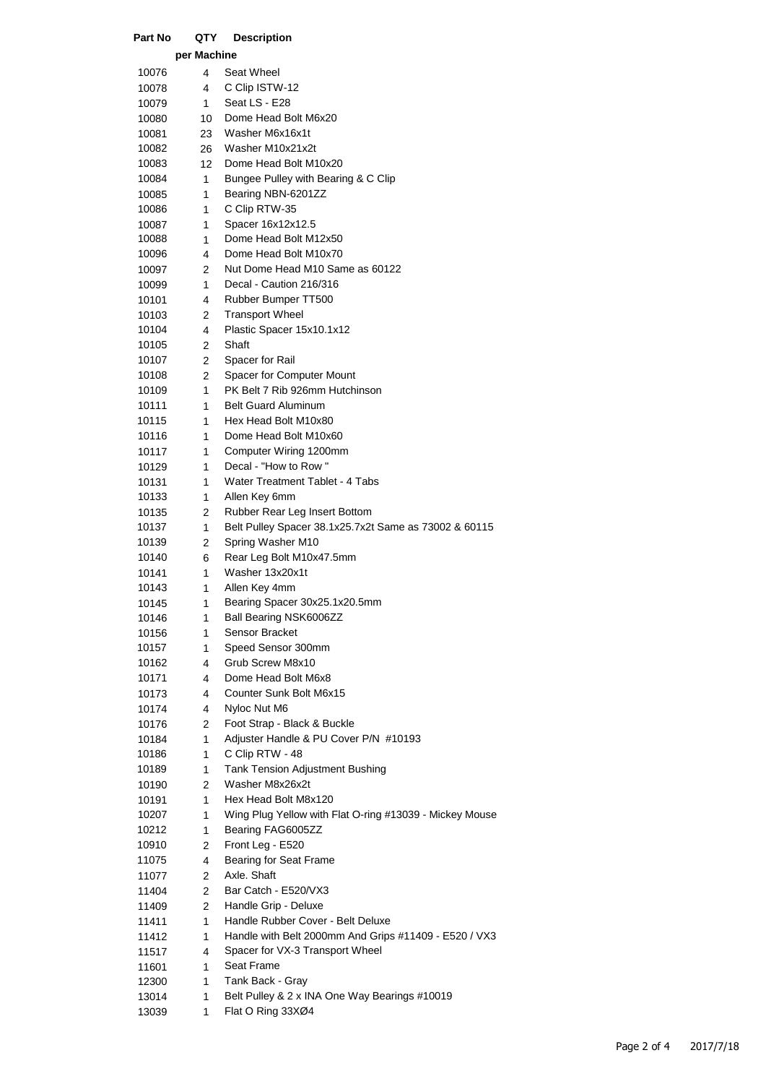| Part No        | QTY         | <b>Description</b>                                        |
|----------------|-------------|-----------------------------------------------------------|
|                | per Machine |                                                           |
| 10076          | 4           | Seat Wheel                                                |
| 10078          | 4           | C Clip ISTW-12                                            |
| 10079          | 1           | Seat LS - E28                                             |
| 10080          | 10          | Dome Head Bolt M6x20                                      |
| 10081          | 23          | Washer M6x16x1t                                           |
| 10082          | 26          | Washer M10x21x2t                                          |
| 10083          | 12          | Dome Head Bolt M10x20                                     |
| 10084          | 1           | Bungee Pulley with Bearing & C Clip                       |
| 10085          | 1           | Bearing NBN-6201ZZ                                        |
| 10086          | 1           | C Clip RTW-35                                             |
| 10087          | 1           | Spacer 16x12x12.5                                         |
| 10088          | 1           | Dome Head Bolt M12x50                                     |
| 10096          | 4           | Dome Head Bolt M10x70<br>Nut Dome Head M10 Same as 60122  |
| 10097<br>10099 | 2<br>1      | Decal - Caution 216/316                                   |
| 10101          | 4           | Rubber Bumper TT500                                       |
| 10103          | 2           | <b>Transport Wheel</b>                                    |
| 10104          | 4           | Plastic Spacer 15x10.1x12                                 |
| 10105          | 2           | Shaft                                                     |
| 10107          | 2           | Spacer for Rail                                           |
| 10108          | 2           | Spacer for Computer Mount                                 |
| 10109          | 1           | PK Belt 7 Rib 926mm Hutchinson                            |
| 10111          | 1           | <b>Belt Guard Aluminum</b>                                |
| 10115          | 1           | Hex Head Bolt M10x80                                      |
| 10116          | 1           | Dome Head Bolt M10x60                                     |
| 10117          | 1           | Computer Wiring 1200mm                                    |
| 10129          | 1           | Decal - "How to Row"                                      |
| 10131          | 1           | Water Treatment Tablet - 4 Tabs                           |
| 10133          | 1           | Allen Key 6mm                                             |
| 10135          | 2           | Rubber Rear Leg Insert Bottom                             |
| 10137          | 1           | Belt Pulley Spacer 38.1x25.7x2t Same as 73002 & 60115     |
| 10139<br>10140 | 2<br>6      | Spring Washer M10<br>Rear Leg Bolt M10x47.5mm             |
| 10141          | 1           | Washer 13x20x1t                                           |
| 10143          | 1           | Allen Key 4mm                                             |
| 10145          | 1           | Bearing Spacer 30x25.1x20.5mm                             |
| 10146          | 1           | Ball Bearing NSK6006ZZ                                    |
| 10156          | 1           | Sensor Bracket                                            |
| 10157          | 1           | Speed Sensor 300mm                                        |
| 10162          | 4           | Grub Screw M8x10                                          |
| 10171          | 4           | Dome Head Bolt M6x8                                       |
| 10173          | 4           | Counter Sunk Bolt M6x15                                   |
| 10174          | 4           | Nyloc Nut M6                                              |
| 10176          | 2           | Foot Strap - Black & Buckle                               |
| 10184          | 1           | Adjuster Handle & PU Cover P/N #10193                     |
| 10186          | 1           | C Clip RTW - 48                                           |
| 10189          | 1           | <b>Tank Tension Adjustment Bushing</b><br>Washer M8x26x2t |
| 10190          | 2           | Hex Head Bolt M8x120                                      |
| 10191<br>10207 | 1<br>1      | Wing Plug Yellow with Flat O-ring #13039 - Mickey Mouse   |
| 10212          | 1           | Bearing FAG6005ZZ                                         |
| 10910          | 2           | Front Leg - E520                                          |
| 11075          | 4           | Bearing for Seat Frame                                    |
| 11077          | 2           | Axle. Shaft                                               |
| 11404          | 2           | Bar Catch - E520/VX3                                      |
| 11409          | 2           | Handle Grip - Deluxe                                      |
| 11411          | 1           | Handle Rubber Cover - Belt Deluxe                         |
| 11412          | 1           | Handle with Belt 2000mm And Grips #11409 - E520 / VX3     |
| 11517          | 4           | Spacer for VX-3 Transport Wheel                           |
| 11601          | 1           | Seat Frame                                                |
| 12300          | 1           | Tank Back - Gray                                          |
| 13014          | 1           | Belt Pulley & 2 x INA One Way Bearings #10019             |
| 13039          | 1           | Flat O Ring 33XØ4                                         |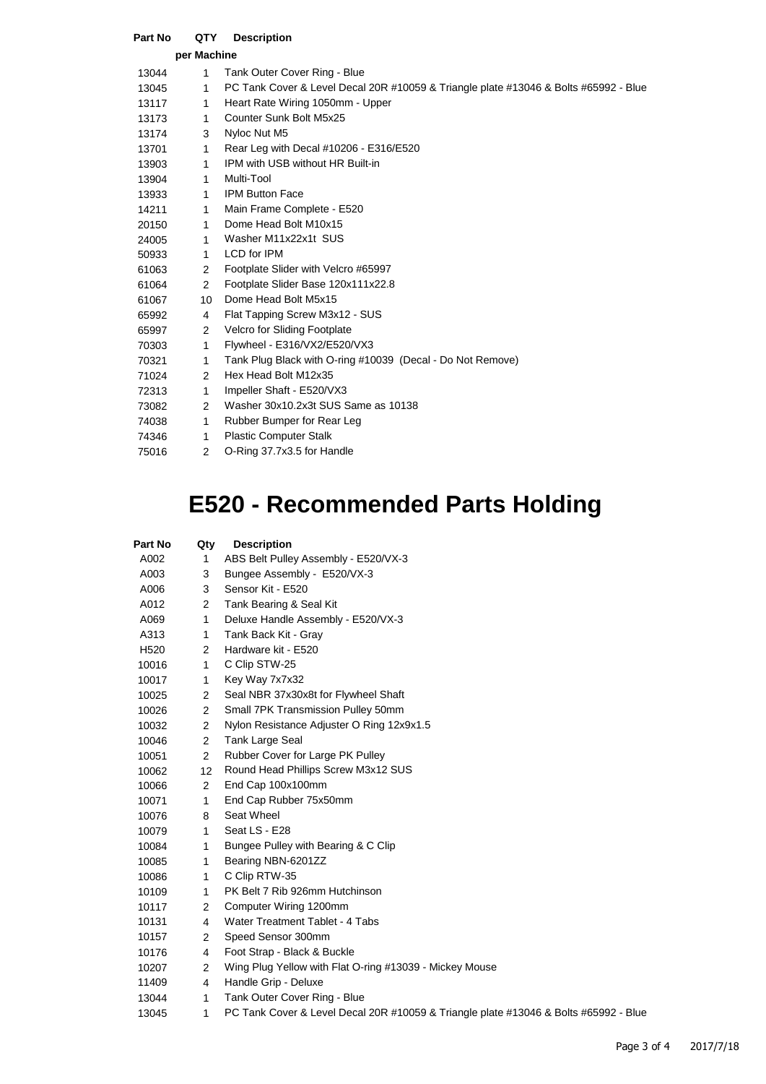| Part No     | QTY            | <b>Description</b>                                                                   |  |  |  |  |
|-------------|----------------|--------------------------------------------------------------------------------------|--|--|--|--|
| per Machine |                |                                                                                      |  |  |  |  |
| 13044       | 1              | Tank Outer Cover Ring - Blue                                                         |  |  |  |  |
| 13045       | 1              | PC Tank Cover & Level Decal 20R #10059 & Triangle plate #13046 & Bolts #65992 - Blue |  |  |  |  |
| 13117       | 1              | Heart Rate Wiring 1050mm - Upper                                                     |  |  |  |  |
| 13173       | 1              | Counter Sunk Bolt M5x25                                                              |  |  |  |  |
| 13174       | 3              | Nyloc Nut M5                                                                         |  |  |  |  |
| 13701       | 1              | Rear Leg with Decal #10206 - E316/E520                                               |  |  |  |  |
| 13903       | 1              | IPM with USB without HR Built-in                                                     |  |  |  |  |
| 13904       | 1              | Multi-Tool                                                                           |  |  |  |  |
| 13933       | 1              | <b>IPM Button Face</b>                                                               |  |  |  |  |
| 14211       | 1              | Main Frame Complete - E520                                                           |  |  |  |  |
| 20150       | 1              | Dome Head Bolt M10x15                                                                |  |  |  |  |
| 24005       | 1.             | Washer M11x22x1t SUS                                                                 |  |  |  |  |
| 50933       | 1              | <b>LCD</b> for IPM                                                                   |  |  |  |  |
| 61063       | 2              | Footplate Slider with Velcro #65997                                                  |  |  |  |  |
| 61064       | $\overline{2}$ | Footplate Slider Base 120x111x22.8                                                   |  |  |  |  |
| 61067       | 10             | Dome Head Bolt M5x15                                                                 |  |  |  |  |
| 65992       | 4              | Flat Tapping Screw M3x12 - SUS                                                       |  |  |  |  |
| 65997       | 2              | Velcro for Sliding Footplate                                                         |  |  |  |  |
| 70303       | 1              | Flywheel - E316/VX2/E520/VX3                                                         |  |  |  |  |
| 70321       | 1              | Tank Plug Black with O-ring #10039 (Decal - Do Not Remove)                           |  |  |  |  |
| 71024       | $\overline{2}$ | Hex Head Bolt M12x35                                                                 |  |  |  |  |
| 72313       | 1              | Impeller Shaft - E520/VX3                                                            |  |  |  |  |
| 73082       | 2              | Washer 30x10.2x3t SUS Same as 10138                                                  |  |  |  |  |
| 74038       | 1              | Rubber Bumper for Rear Leg                                                           |  |  |  |  |
| 74346       | 1              | <b>Plastic Computer Stalk</b>                                                        |  |  |  |  |
| 75016       | 2              | O-Ring 37.7x3.5 for Handle                                                           |  |  |  |  |

## **E520 - Recommended Parts Holding**

| Part No          | Qty            | <b>Description</b>                                                                   |  |  |  |
|------------------|----------------|--------------------------------------------------------------------------------------|--|--|--|
| A002             | 1              | ABS Belt Pulley Assembly - E520/VX-3                                                 |  |  |  |
| A003             | 3              | Bungee Assembly - E520/VX-3                                                          |  |  |  |
| A006             | 3              | Sensor Kit - E520                                                                    |  |  |  |
| A012             | $\overline{2}$ | Tank Bearing & Seal Kit                                                              |  |  |  |
| A069             | $\mathbf{1}$   | Deluxe Handle Assembly - E520/VX-3                                                   |  |  |  |
| A313             | 1              | Tank Back Kit - Gray                                                                 |  |  |  |
| H <sub>520</sub> | $\overline{2}$ | Hardware kit - E520                                                                  |  |  |  |
| 10016            | $\mathbf{1}$   | C Clip STW-25                                                                        |  |  |  |
| 10017            | $\mathbf{1}$   | Key Way 7x7x32                                                                       |  |  |  |
| 10025            | $\overline{2}$ | Seal NBR 37x30x8t for Flywheel Shaft                                                 |  |  |  |
| 10026            | $\overline{2}$ | Small 7PK Transmission Pulley 50mm                                                   |  |  |  |
| 10032            | $\overline{2}$ | Nylon Resistance Adjuster O Ring 12x9x1.5                                            |  |  |  |
| 10046            | $\overline{2}$ | Tank Large Seal                                                                      |  |  |  |
| 10051            | $\overline{2}$ | Rubber Cover for Large PK Pulley                                                     |  |  |  |
| 10062            | 12             | Round Head Phillips Screw M3x12 SUS                                                  |  |  |  |
| 10066            | $\overline{2}$ | End Cap 100x100mm                                                                    |  |  |  |
| 10071            | $\mathbf{1}$   | End Cap Rubber 75x50mm                                                               |  |  |  |
| 10076            | 8              | Seat Wheel                                                                           |  |  |  |
| 10079            | $\mathbf{1}$   | Seat LS - E28                                                                        |  |  |  |
| 10084            | $\mathbf{1}$   | Bungee Pulley with Bearing & C Clip                                                  |  |  |  |
| 10085            | $\mathbf{1}$   | Bearing NBN-6201ZZ                                                                   |  |  |  |
| 10086            | $\mathbf{1}$   | C Clip RTW-35                                                                        |  |  |  |
| 10109            | $\mathbf{1}$   | PK Belt 7 Rib 926mm Hutchinson                                                       |  |  |  |
| 10117            | $\overline{2}$ | Computer Wiring 1200mm                                                               |  |  |  |
| 10131            | 4              | Water Treatment Tablet - 4 Tabs                                                      |  |  |  |
| 10157            | $\overline{2}$ | Speed Sensor 300mm                                                                   |  |  |  |
| 10176            | 4              | Foot Strap - Black & Buckle                                                          |  |  |  |
| 10207            | $\overline{2}$ | Wing Plug Yellow with Flat O-ring #13039 - Mickey Mouse                              |  |  |  |
| 11409            | 4              | Handle Grip - Deluxe                                                                 |  |  |  |
| 13044            | $\mathbf{1}$   | Tank Outer Cover Ring - Blue                                                         |  |  |  |
| 13045            | 1              | PC Tank Cover & Level Decal 20R #10059 & Triangle plate #13046 & Bolts #65992 - Blue |  |  |  |